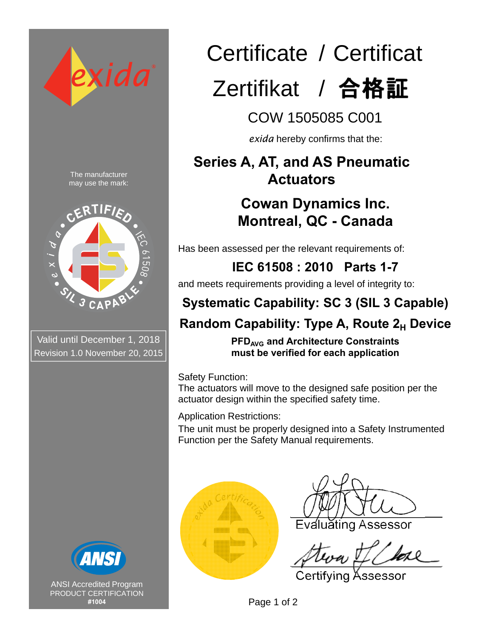

Valid until December 1, 2018 Revision 1.0 November 20, 2015



ANSI Accredited Program PRODUCT CERTIFICATION **#1004**

# Certificate / Certificat

# Zertifikat / 合格証

COW 1505085 C001

*exida* hereby confirms that the:

### **Series A, AT, and AS Pneumatic Actuators**

## **Cowan Dynamics Inc. Montreal, QC - Canada**

Has been assessed per the relevant requirements of:

**IEC 61508 : 2010 Parts 1-7** 

and meets requirements providing a level of integrity to:

# **Systematic Capability: SC 3 (SIL 3 Capable)**

### **Random Capability: Type A, Route 2<sub>H</sub> Device**

**PFDAVG and Architecture Constraints must be verified for each application**

Safety Function:

The actuators will move to the designed safe position per the actuator design within the specified safety time.

Application Restrictions:

The unit must be properly designed into a Safety Instrumented Function per the Safety Manual requirements.



Evaluating Assessor

Certifying Assessor

Page 1 of 2